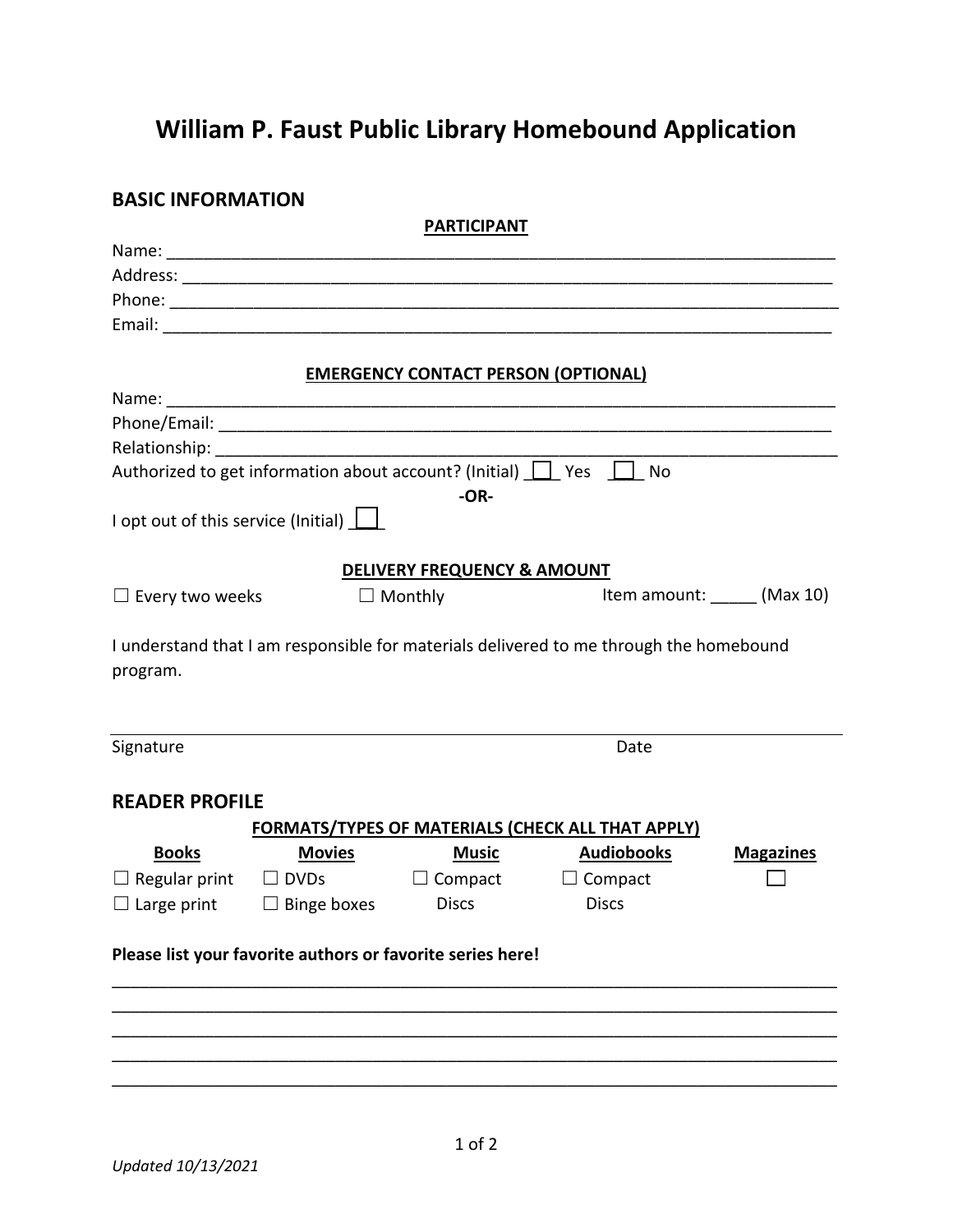## **William P. Faust Public Library Homebound Application**

## **BASIC INFORMATION**

| <b>PARTICIPANT</b>                                       |                                                                             |                                                                                                                                                                                                                                     |                                                                                        |                              |  |
|----------------------------------------------------------|-----------------------------------------------------------------------------|-------------------------------------------------------------------------------------------------------------------------------------------------------------------------------------------------------------------------------------|----------------------------------------------------------------------------------------|------------------------------|--|
|                                                          |                                                                             |                                                                                                                                                                                                                                     |                                                                                        |                              |  |
|                                                          |                                                                             |                                                                                                                                                                                                                                     |                                                                                        |                              |  |
|                                                          |                                                                             |                                                                                                                                                                                                                                     |                                                                                        |                              |  |
|                                                          |                                                                             |                                                                                                                                                                                                                                     |                                                                                        |                              |  |
|                                                          |                                                                             |                                                                                                                                                                                                                                     |                                                                                        |                              |  |
| <b>EMERGENCY CONTACT PERSON (OPTIONAL)</b>               |                                                                             |                                                                                                                                                                                                                                     |                                                                                        |                              |  |
|                                                          |                                                                             |                                                                                                                                                                                                                                     |                                                                                        |                              |  |
|                                                          |                                                                             |                                                                                                                                                                                                                                     |                                                                                        |                              |  |
|                                                          |                                                                             |                                                                                                                                                                                                                                     |                                                                                        |                              |  |
|                                                          | Authorized to get information about account? (Initial) $\Box$ Yes $\Box$ No |                                                                                                                                                                                                                                     |                                                                                        |                              |  |
|                                                          |                                                                             | $-OR-$                                                                                                                                                                                                                              |                                                                                        |                              |  |
|                                                          | I opt out of this service (Initial) $\boxed{\phantom{a}}$                   |                                                                                                                                                                                                                                     |                                                                                        |                              |  |
|                                                          |                                                                             |                                                                                                                                                                                                                                     |                                                                                        |                              |  |
|                                                          |                                                                             | <b>DELIVERY FREQUENCY &amp; AMOUNT</b>                                                                                                                                                                                              |                                                                                        |                              |  |
| $\Box$ Every two weeks                                   |                                                                             | $\Box$ Monthly                                                                                                                                                                                                                      |                                                                                        | Item amount: ______ (Max 10) |  |
|                                                          |                                                                             |                                                                                                                                                                                                                                     |                                                                                        |                              |  |
|                                                          |                                                                             |                                                                                                                                                                                                                                     | I understand that I am responsible for materials delivered to me through the homebound |                              |  |
| program.                                                 |                                                                             |                                                                                                                                                                                                                                     |                                                                                        |                              |  |
|                                                          |                                                                             |                                                                                                                                                                                                                                     |                                                                                        |                              |  |
|                                                          |                                                                             |                                                                                                                                                                                                                                     |                                                                                        |                              |  |
| Signature                                                |                                                                             |                                                                                                                                                                                                                                     | Date                                                                                   |                              |  |
|                                                          |                                                                             |                                                                                                                                                                                                                                     |                                                                                        |                              |  |
| <b>READER PROFILE</b>                                    |                                                                             |                                                                                                                                                                                                                                     |                                                                                        |                              |  |
| <b>FORMATS/TYPES OF MATERIALS (CHECK ALL THAT APPLY)</b> |                                                                             |                                                                                                                                                                                                                                     |                                                                                        |                              |  |
| <b>Books</b>                                             | <b>Movies</b>                                                               | <u>Music</u> Parties of the Second Second Second Second Second Second Second Second Second Second Second Second Second Second Second Second Second Second Second Second Second Second Second Second Second Second Second Second Sec | <b>Audiobooks</b>                                                                      | <b>Magazines</b>             |  |
|                                                          | $\Box$ Regular print $\Box$ DVDs $\Box$ Compact $\Box$ Compact              |                                                                                                                                                                                                                                     |                                                                                        |                              |  |
| $\Box$ Large print                                       | $\Box$ Binge boxes                                                          | <b>Discs</b>                                                                                                                                                                                                                        | <b>Discs</b>                                                                           |                              |  |
|                                                          |                                                                             |                                                                                                                                                                                                                                     |                                                                                        |                              |  |
|                                                          | Please list your favorite authors or favorite series here!                  |                                                                                                                                                                                                                                     |                                                                                        |                              |  |
|                                                          |                                                                             |                                                                                                                                                                                                                                     |                                                                                        |                              |  |
|                                                          |                                                                             |                                                                                                                                                                                                                                     |                                                                                        |                              |  |
|                                                          |                                                                             |                                                                                                                                                                                                                                     |                                                                                        |                              |  |
|                                                          |                                                                             |                                                                                                                                                                                                                                     |                                                                                        |                              |  |
|                                                          |                                                                             |                                                                                                                                                                                                                                     |                                                                                        |                              |  |